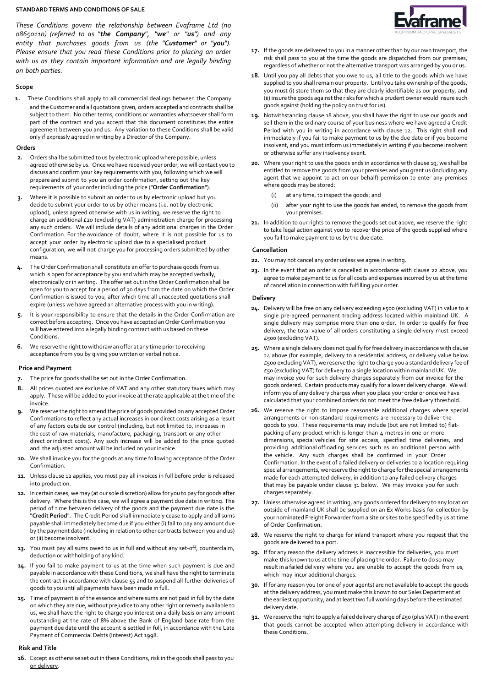#### STANDARD TERMS AND CONDITIONS OF SALE

These Conditions govern the relationship between *Evaframe Ltd (no 08650110)* (referred to as "the Company", "we" or "us") and any entity that purchases goods from us (the "Customer" or "you"). Please ensure that you read these Conditions prior to placing an order with us as they contain important information and are legally binding on both parties.

#### Scope

1. These Conditions shall apply to all commercial dealings between the Company and the Customer and all quotations given, orders accepted and contracts shall be subject to them. No other terms, conditions or warranties whatsoever shall form part of the contract and you accept that this document constitutes the entire agreement between you and us. Any variation to these Conditions shall be valid only if expressly agreed in writing by a Director of the Company.

#### Orders

- **2.** Orders shall be submitted to us by electronic upload where possible, unless agreed otherwise by us. Once we have received your order, we will contact you to discuss and confirm your key requirements with you, following which we will prepare and submit to you an order confirmation, setting out the key requirements of your order including the price ("Order Confirmation").
- **3.** Where it is possible to submit an order to us by electronic upload but you decide to submit your order to us by other means (i.e. not by electronic upload), unless agreed otherwise with us in writing, we reserve the right to charge an additional £20 (excluding VAT) administration charge for processing any such orders. We will include details of any additional charges in the Order Confirmation. For the avoidance of doubt, where it is not possible for us to accept your order by electronic upload due to a specialised product configuration, we will not charge you for processing orders submitted by other means.
- **4.** The Order Confirmation shall constitute an offer to purchase goods from us which is open for acceptance by you and which may be accepted verbally, electronically or in writing. The offer set out in the Order Confirmation shall be open for you to accept for a period of 30 days from the date on which the Order Confirmation is issued to you, after which time all unaccepted quotations shall expire (unless we have agreed an alternative process with you in writing).
- **5.** It is your responsibility to ensure that the details in the Order Confirmation are correct before accepting. Once you have accepted an Order Confirmation you will have entered into a legally binding contract with us based on these Conditions.
- **6.** We reserve the right to withdraw an offer at any time prior to receiving acceptance from you by giving you written or verbal notice.

# Price and Payment

- **7.** The price for goods shall be set out in the Order Confirmation.
- **8.** All prices quoted are exclusive of VAT and any other statutory taxes which may apply. These will be added to your invoice at the rate applicable at the time of the invoice.
- **9.** We reserve the right to amend the price of goods provided on any accepted Order Confirmations to reflect any actual increases in our direct costs arising as a result of any factors outside our control (including, but not limited to, increases in the cost of raw materials, manufacture, packaging, transport or any other direct or indirect costs). Any such increase will be added to the price quoted and the adjusted amount will be included on your invoice.
- **10.** We shall invoice you for the goods at any time following acceptance of the Order Confirmation.
- **11.** Unless clause 12 applies, you must pay all invoices in full before order is released into production.
- **12.** In certain cases, we may (at our sole discretion) allow for you to pay for goods after delivery. Where this is the case, we will agree a payment due date in writing. The period of time between delivery of the goods and the payment due date is the "Credit Period". The Credit Period shall immediately cease to apply and all sums payable shall immediately become due if you either (i) fail to pay any amount due by the payment date (including in relation to other contracts between you and us) or (ii) become insolvent.
- **13.** You must pay all sums owed to us in full and without any set-off, counterclaim, deduction or withholding of any kind.
- **14.** If you fail to make payment to us at the time when such payment is due and payable in accordance with these Conditions, we shall have the right to terminate the contract in accordance with clause 55 and to suspend all further deliveries of goods to you until all payments have been made in full.
- **15.** Time of payment is of the essence and where sums are not paid in full by the date on which they are due, without prejudice to any other right or remedy available to us, we shall have the right to charge you interest on a daily basis on any amount outstanding at the rate of 8% above the Bank of England base rate from the payment due date until the account is settled in full, in accordance with the Late Payment of Commercial Debts (Interest) Act 1998.

# Risk and Title

16. Except as otherwise set out in these Conditions, risk in the goods shall pass to you on delivery.



- 17. If the goods are delivered to you in a manner other than by our own transport, the risk shall pass to you at the time the goods are dispatched from our premises, regardless of whether or not the alternative transport was arranged by you or us.
- 18. Until you pay all debts that you owe to us, all title to the goods which we have supplied to you shall remain our property. Until you take ownership of the goods, you must (i) store them so that they are clearly identifiable as our property, and (ii) insure the goods against the risks for which a prudent owner would insure such goods against (holding the policy on trust for us).
- 19. Notwithstanding clause 18 above, you shall have the right to use our goods and sell them in the ordinary course of your business where we have agreed a Credit Period with you in writing in accordance with clause 12. This right shall end immediately if you fail to make payment to us by the due date or if you become insolvent, and you must inform us immediately in writing if you become insolvent or otherwise suffer any insolvency event.
- 20. Where your right to use the goods ends in accordance with clause 19, we shall be entitled to remove the goods from your premises and you grant us (including any agent that we appoint to act on our behalf) permission to enter any premises where goods may be stored:
	- (i) at any time, to inspect the goods; and
	- (ii) after your right to use the goods has ended, to remove the goods from your premises.
- 21. In addition to our rights to remove the goods set out above, we reserve the right to take legal action against you to recover the price of the goods supplied where you fail to make payment to us by the due date.

# Cancellation

- 22. You may not cancel any order unless we agree in writing.
- 23. In the event that an order is cancelled in accordance with clause 22 above, you agree to make payment to us for all costs and expenses incurred by us at the time of cancellation in connection with fulfilling your order.

#### Delivery

- **24.** Delivery will be free on any delivery exceeding £500 (excluding VAT) in value to a single pre-agreed permanent trading address located within mainland UK. A single delivery may comprise more than one order. In order to qualify for free delivery, the total value of all orders constituting a single delivery must exceed £500 (excluding VAT).
- **25.** Where a single delivery does not qualify for free delivery in accordance with clause 24 above (for example, delivery to a residential address, or delivery value below £500 excluding VAT), we reserve the right to charge you a standard delivery fee of £50 (excluding VAT) for delivery to a single location within mainland UK. We may invoice you for such delivery charges separately from our invoice for the goods ordered. Certain products may qualify for a lower delivery charge. We will inform you of any delivery charges when you place your order or once we have calculated that your combined orders do not meet the free delivery threshold.
- **26.** We reserve the right to impose reasonable additional charges where special arrangements or non-standard requirements are necessary to deliver the goods to you. These requirements may include (but are not limited to) flatpacking of any product which is longer than 4 metres in one or more dimensions, special vehicles for site access, specified time deliveries, and providing additional offloading services such as an additional person with the vehicle. Any such charges shall be confirmed in your Order Confirmation. In the event of a failed delivery or deliveries to a location requiring special arrangements, we reserve the right to charge for the special arrangements made for each attempted delivery, in addition to any failed delivery charges that may be payable under clause 31 below. We may invoice you for such charges separately.
- **27.** Unless otherwise agreed in writing, any goods ordered for delivery to any location outside of mainland UK shall be supplied on an Ex Works basis for collection by your nominated Freight Forwarder from a site or sites to be specified by us at time of Order Confirmation.
- **28.** We reserve the right to charge for inland transport where you request that the goods are delivered to a port.
- **29.** If for any reason the delivery address is inaccessible for deliveries, you must make this known to us at the time of placing the order. Failure to do so may result in a failed delivery where you are unable to accept the goods from us, which may incur additional charges.
- **30.** If for any reason you (or one of your agents) are not available to accept the goods at the delivery address, you must make this known to our Sales Department at the earliest opportunity, and at least two full working days before the estimated delivery date.
- **31.** We reserve the right to apply a failed delivery charge of £50 (plus VAT) in the event that goods cannot be accepted when attempting delivery in accordance with these Conditions.